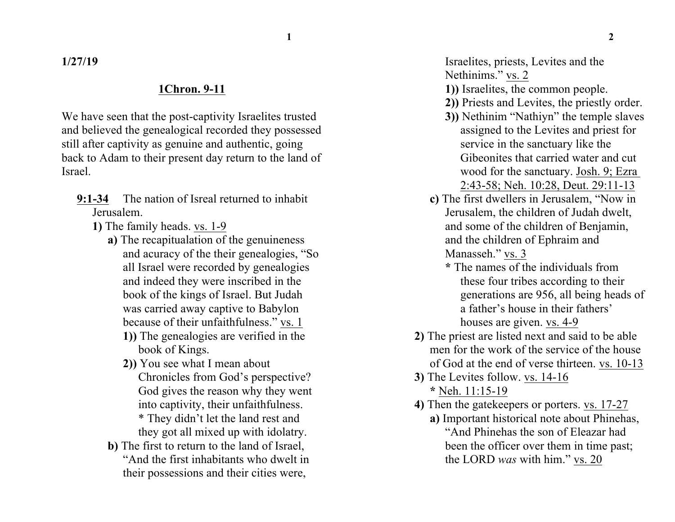**1 2**

**1/27/19**

#### **1Chron. 9-11**

We have seen that the post-captivity Israelites trusted and believed the genealogical recorded they possessed still after captivity as genuine and authentic, going back to Adam to their present day return to the land of Israel.

- **9:1-34** The nation of Isreal returned to inhabit Jerusalem.
	- **1)** The family heads. vs. 1-9
		- **a)** The recapitualation of the genuineness and acuracy of the their genealogies, "So all Israel were recorded by genealogies and indeed they were inscribed in the book of the kings of Israel. But Judah was carried away captive to Babylon because of their unfaithfulness." vs. 1
			- **1))** The genealogies are verified in the book of Kings.
			- **2))** You see what I mean about Chronicles from God's perspective? God gives the reason why they went into captivity, their unfaithfulness. \* They didn't let the land rest and they got all mixed up with idolatry.
		- **b)** The first to return to the land of Israel, "And the first inhabitants who dwelt in their possessions and their cities were,
- **1))** Israelites, the common people.
- **2))** Priests and Levites, the priestly order.
- **3))** Nethinim "Nathiyn" the temple slaves assigned to the Levites and priest for service in the sanctuary like the Gibeonites that carried water and cut wood for the sanctuary. Josh. 9; Ezra 2:43-58; Neh. 10:28, Deut. 29:11-13
- **c)** The first dwellers in Jerusalem, "Now in Jerusalem, the children of Judah dwelt, and some of the children of Benjamin, and the children of Ephraim and Manasseh." vs. 3
	- **\*** The names of the individuals from these four tribes according to their generations are 956, all being heads of a father's house in their fathers' houses are given. vs. 4-9
- **2)** The priest are listed next and said to be able men for the work of the service of the house of God at the end of verse thirteen. vs. 10-13
- **3)** The Levites follow. vs. 14-16 **\*** Neh. 11:15-19
- **4)** Then the gatekeepers or porters. vs. 17-27
	- **a)** Important historical note about Phinehas, "And Phinehas the son of Eleazar had been the officer over them in time past; the LORD *was* with him." vs. 20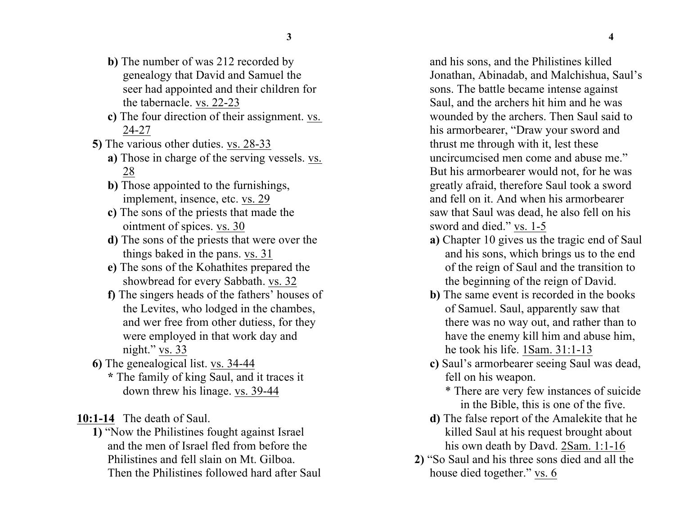- 
- **b)** The number of was 212 recorded by genealogy that David and Samuel the seer had appointed and their children for the tabernacle. vs. 22-23
- **c)** The four direction of their assignment. vs. 24-27
- **5)** The various other duties. vs. 28-33
	- **a)** Those in charge of the serving vessels. vs. 28
	- **b)** Those appointed to the furnishings, implement, insence, etc. vs. 29
	- **c)** The sons of the priests that made the ointment of spices. vs. 30
	- **d)** The sons of the priests that were over the things baked in the pans. vs. 31
	- **e)** The sons of the Kohathites prepared the showbread for every Sabbath. vs. 32
	- **f)** The singers heads of the fathers' houses of the Levites, who lodged in the chambes, and wer free from other dutiess, for they were employed in that work day and night." vs. 33
- **6)** The genealogical list. vs. 34-44 **\*** The family of king Saul, and it traces it down threw his linage. vs. 39-44
- **10:1-14** The death of Saul.
	- **1)** "Now the Philistines fought against Israel and the men of Israel fled from before the Philistines and fell slain on Mt. Gilboa. Then the Philistines followed hard after Saul

and his sons, and the Philistines killed Jonathan, Abinadab, and Malchishua, Saul's sons. The battle became intense against Saul, and the archers hit him and he was wounded by the archers. Then Saul said to his armorbearer, "Draw your sword and thrust me through with it, lest these uncircumcised men come and abuse me." But his armorbearer would not, for he was greatly afraid, therefore Saul took a sword and fell on it. And when his armorbearer saw that Saul was dead, he also fell on his sword and died." vs. 1-5

- **a)** Chapter 10 gives us the tragic end of Saul and his sons, which brings us to the end of the reign of Saul and the transition to the beginning of the reign of David.
- **b)** The same event is recorded in the books of Samuel. Saul, apparently saw that there was no way out, and rather than to have the enemy kill him and abuse him, he took his life. 1Sam. 31:1-13
- **c)** Saul's armorbearer seeing Saul was dead, fell on his weapon.
	- \* There are very few instances of suicide in the Bible, this is one of the five.
- **d)** The false report of the Amalekite that he killed Saul at his request brought about his own death by Davd. 2Sam. 1:1-16
- **2)** "So Saul and his three sons died and all the house died together." vs. 6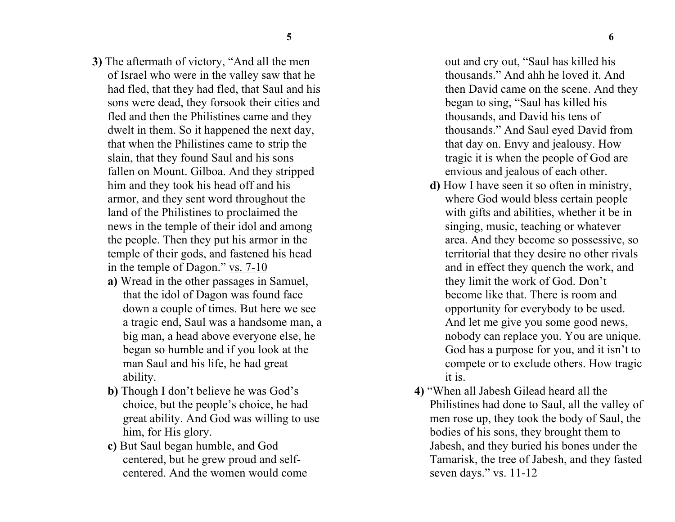- **3)** The aftermath of victory, "And all the men of Israel who were in the valley saw that he had fled, that they had fled, that Saul and his sons were dead, they forsook their cities and fled and then the Philistines came and they dwelt in them. So it happened the next day, that when the Philistines came to strip the slain, that they found Saul and his sons fallen on Mount. Gilboa. And they stripped him and they took his head off and his armor, and they sent word throughout the land of the Philistines to proclaimed the news in the temple of their idol and among the people. Then they put his armor in the temple of their gods, and fastened his head in the temple of Dagon." vs. 7-10
	- **a)** Wread in the other passages in Samuel, that the idol of Dagon was found face down a couple of times. But here we see a tragic end, Saul was a handsome man, a big man, a head above everyone else, he began so humble and if you look at the man Saul and his life, he had great ability.
	- **b)** Though I don't believe he was God's choice, but the people's choice, he had great ability. And God was willing to use him, for His glory.
	- **c)** But Saul began humble, and God centered, but he grew proud and selfcentered. And the women would come

out and cry out, "Saul has killed his thousands." And ahh he loved it. And then David came on the scene. And they began to sing, "Saul has killed his thousands, and David his tens of thousands." And Saul eyed David from that day on. Envy and jealousy. How tragic it is when the people of God are envious and jealous of each other.

- **d)** How I have seen it so often in ministry, where God would bless certain people with gifts and abilities, whether it be in singing, music, teaching or whatever area. And they become so possessive, so territorial that they desire no other rivals and in effect they quench the work, and they limit the work of God. Don't become like that. There is room and opportunity for everybody to be used. And let me give you some good news, nobody can replace you. You are unique. God has a purpose for you, and it isn't to compete or to exclude others. How tragic it is.
- **4)** "When all Jabesh Gilead heard all the Philistines had done to Saul, all the valley of men rose up, they took the body of Saul, the bodies of his sons, they brought them to Jabesh, and they buried his bones under the Tamarisk, the tree of Jabesh, and they fasted seven days." vs. 11-12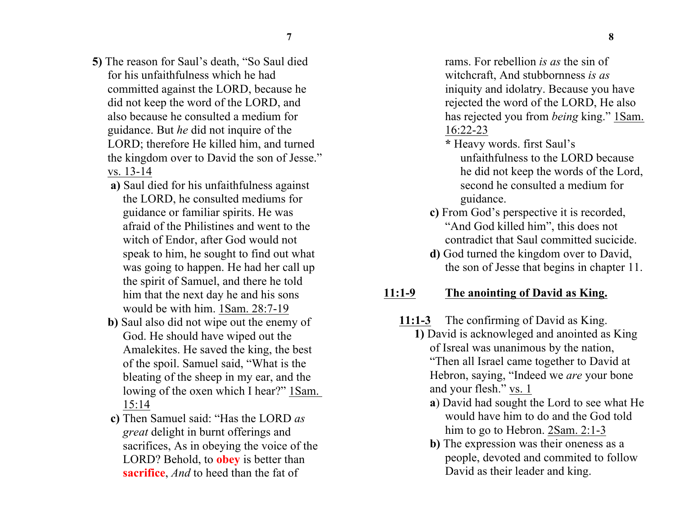- **5)** The reason for Saul's death, "So Saul died for his unfaithfulness which he had committed against the LORD, because he did not keep the word of the LORD, and also because he consulted a medium for guidance. But *he* did not inquire of the LORD; therefore He killed him, and turned the kingdom over to David the son of Jesse." vs. 13-14
	- **a)** Saul died for his unfaithfulness against the LORD, he consulted mediums for guidance or familiar spirits. He was afraid of the Philistines and went to the witch of Endor, after God would not speak to him, he sought to find out what was going to happen. He had her call up the spirit of Samuel, and there he told him that the next day he and his sons would be with him. 1Sam. 28:7-19
	- **b)** Saul also did not wipe out the enemy of God. He should have wiped out the Amalekites. He saved the king, the best of the spoil. Samuel said, "What is the bleating of the sheep in my ear, and the lowing of the oxen which I hear?" 1Sam. 15:14
	- **c)** Then Samuel said: "Has the LORD *as great* delight in burnt offerings and sacrifices, As in obeying the voice of the LORD? Behold, to **obey** is better than **sacrifice**, *And* to heed than the fat of

rams. For rebellion *is as* the sin of witchcraft, And stubbornness *is as* iniquity and idolatry. Because you have rejected the word of the LORD, He also has rejected you from *being* king." 1Sam. 16:22-23

- **\*** Heavy words. first Saul's unfaithfulness to the LORD because he did not keep the words of the Lord, second he consulted a medium for guidance.
- **c)** From God's perspective it is recorded, "And God killed him", this does not contradict that Saul committed sucicide.
- **d)** God turned the kingdom over to David, the son of Jesse that begins in chapter 11.

#### **11:1-9 The anointing of David as King.**

- **11:1-3** The confirming of David as King.
	- **1)** David is acknowleged and anointed as King of Isreal was unanimous by the nation, "Then all Israel came together to David at Hebron, saying, "Indeed we *are* your bone and your flesh." vs. 1
		- **a**) David had sought the Lord to see what He would have him to do and the God told him to go to Hebron. 2Sam. 2:1-3
		- **b**) The expression was their oneness as a people, devoted and commited to follow David as their leader and king.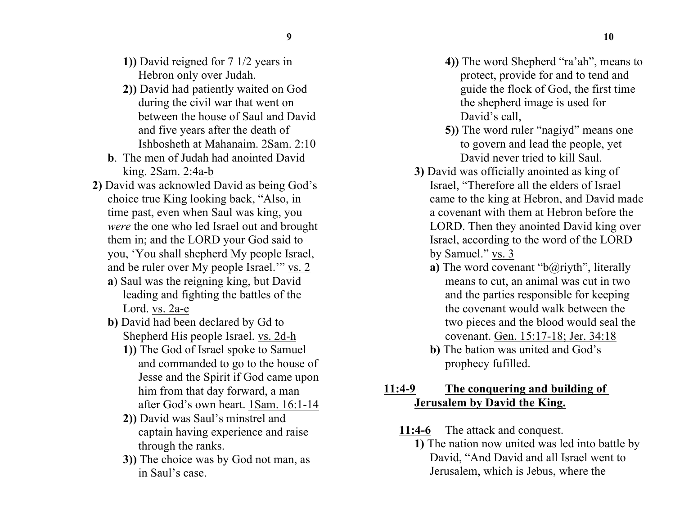- **1))** David reigned for 7 1/2 years in Hebron only over Judah.
- **2))** David had patiently waited on God during the civil war that went on between the house of Saul and David and five years after the death of Ishbosheth at Mahanaim. 2Sam. 2:10
- **b**. The men of Judah had anointed David king. 2Sam. 2:4a-b
- **2)** David was acknowled David as being God's choice true King looking back, "Also, in time past, even when Saul was king, you *were* the one who led Israel out and brought them in; and the LORD your God said to you, 'You shall shepherd My people Israel, and be ruler over My people Israel.'" vs. 2
	- **a**) Saul was the reigning king, but David leading and fighting the battles of the Lord. vs. 2a-e
	- **b)** David had been declared by Gd to Shepherd His people Israel. vs. 2d-h
		- **1))** The God of Israel spoke to Samuel and commanded to go to the house of Jesse and the Spirit if God came upon him from that day forward, a man after God's own heart. 1Sam. 16:1-14
		- **2))** David was Saul's minstrel and captain having experience and raise through the ranks.
		- **3))** The choice was by God not man, as in Saul's case.
- **4))** The word Shepherd "ra'ah", means to protect, provide for and to tend and guide the flock of God, the first time the shepherd image is used for David's call,
- **5))** The word ruler "nagiyd" means one to govern and lead the people, yet David never tried to kill Saul.
- **3)** David was officially anointed as king of Israel, "Therefore all the elders of Israel came to the king at Hebron, and David made a covenant with them at Hebron before the LORD. Then they anointed David king over Israel, according to the word of the LORD by Samuel." vs. 3
	- **a**) The word covenant "b@riyth", literally means to cut, an animal was cut in two and the parties responsible for keeping the covenant would walk between the two pieces and the blood would seal the covenant. Gen. 15:17-18; Jer. 34:18
	- **b)** The bation was united and God's prophecy fufilled.

## **11:4-9 The conquering and building of Jerusalem by David the King.**

## **11:4-6** The attack and conquest.

**1)** The nation now united was led into battle by David, "And David and all Israel went to Jerusalem, which is Jebus, where the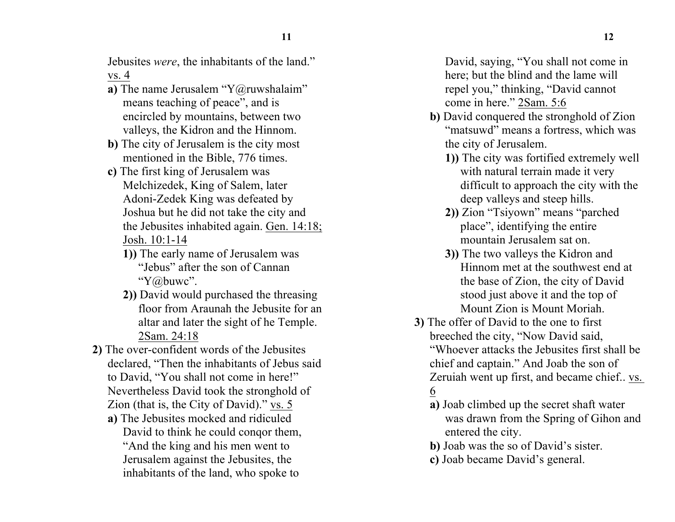Jebusites *were*, the inhabitants of the land." vs. 4

- **a**) The name Jerusalem "Y@ruwshalaim" means teaching of peace", and is encircled by mountains, between two valleys, the Kidron and the Hinnom.
- **b)** The city of Jerusalem is the city most mentioned in the Bible, 776 times.
- **c)** The first king of Jerusalem was Melchizedek, King of Salem, later Adoni-Zedek King was defeated by Joshua but he did not take the city and the Jebusites inhabited again. Gen. 14:18; Josh. 10:1-14
	- **1))** The early name of Jerusalem was "Jebus" after the son of Cannan "Y@buwc".
	- **2))** David would purchased the threasing floor from Araunah the Jebusite for an altar and later the sight of he Temple. 2Sam. 24:18
- **2)** The over-confident words of the Jebusites declared, "Then the inhabitants of Jebus said to David, "You shall not come in here!" Nevertheless David took the stronghold of Zion (that is, the City of David)." vs. 5
	- **a)** The Jebusites mocked and ridiculed David to think he could conqor them, "And the king and his men went to Jerusalem against the Jebusites, the inhabitants of the land, who spoke to

David, saying, "You shall not come in here; but the blind and the lame will repel you," thinking, "David cannot come in here." 2Sam. 5:6

- **b)** David conquered the stronghold of Zion "matsuwd" means a fortress, which was the city of Jerusalem.
	- **1))** The city was fortified extremely well with natural terrain made it very difficult to approach the city with the deep valleys and steep hills.
	- **2))** Zion "Tsiyown" means "parched place", identifying the entire mountain Jerusalem sat on.
	- **3))** The two valleys the Kidron and Hinnom met at the southwest end at the base of Zion, the city of David stood just above it and the top of Mount Zion is Mount Moriah.
- **3)** The offer of David to the one to first breeched the city, "Now David said, "Whoever attacks the Jebusites first shall be chief and captain." And Joab the son of Zeruiah went up first, and became chief.. vs. 6
	- **a)** Joab climbed up the secret shaft water was drawn from the Spring of Gihon and entered the city.
	- **b)** Joab was the so of David's sister.
	- **c)** Joab became David's general.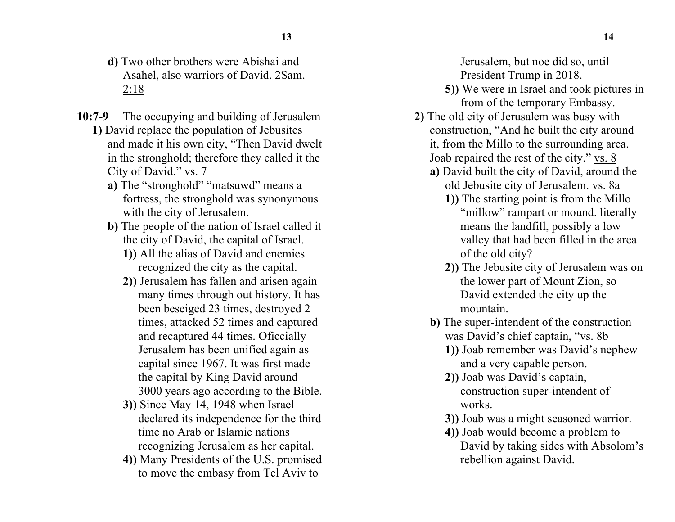- **d)** Two other brothers were Abishai and Asahel, also warriors of David. 2Sam. 2:18
- **10:7-9** The occupying and building of Jerusalem **1)** David replace the population of Jebusites and made it his own city, "Then David dwelt in the stronghold; therefore they called it the

City of David." vs. 7

- a) The "stronghold" "matsuwd" means a fortress, the stronghold was synonymous with the city of Jerusalem.
- **b)** The people of the nation of Israel called it the city of David, the capital of Israel.
	- **1))** All the alias of David and enemies recognized the city as the capital.
	- **2))** Jerusalem has fallen and arisen again many times through out history. It has been beseiged 23 times, destroyed 2 times, attacked 52 times and captured and recaptured 44 times. Oficcially Jerusalem has been unified again as capital since 1967. It was first made the capital by King David around 3000 years ago according to the Bible.
	- **3))** Since May 14, 1948 when Israel declared its independence for the third time no Arab or Islamic nations recognizing Jerusalem as her capital.
	- **4))** Many Presidents of the U.S. promised to move the embasy from Tel Aviv to

Jerusalem, but noe did so, until President Trump in 2018.

- **5))** We were in Israel and took pictures in from of the temporary Embassy.
- **2)** The old city of Jerusalem was busy with construction, "And he built the city around it, from the Millo to the surrounding area. Joab repaired the rest of the city." vs. 8
	- **a)** David built the city of David, around the old Jebusite city of Jerusalem. vs. 8a
		- **1))** The starting point is from the Millo "millow" rampart or mound. literally means the landfill, possibly a low valley that had been filled in the area of the old city?
		- **2))** The Jebusite city of Jerusalem was on the lower part of Mount Zion, so David extended the city up the mountain.
	- **b)** The super-intendent of the construction was David's chief captain, "vs. 8b
		- **1))** Joab remember was David's nephew and a very capable person.
		- **2))** Joab was David's captain, construction super-intendent of works.
		- **3))** Joab was a might seasoned warrior.
		- **4))** Joab would become a problem to David by taking sides with Absolom's rebellion against David.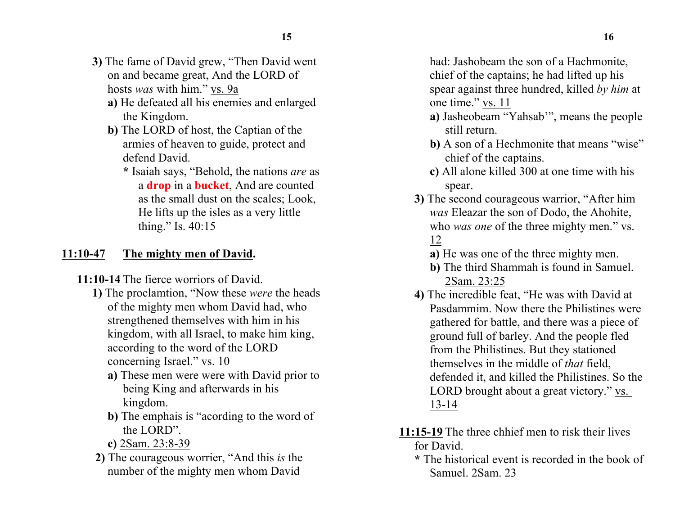- **3)** The fame of David grew, "Then David went on and became great, And the LORD of hosts *was* with him." vs. 9a
	- **a)** He defeated all his enemies and enlarged the Kingdom.
	- **b)** The LORD of host, the Captian of the armies of heaven to guide, protect and defend David.
		- **\*** Isaiah says, "Behold, the nations *are* as a **drop** in a **bucket**, And are counted as the small dust on the scales; Look, He lifts up the isles as a very little thing." Is. 40:15

# **11:10-47 The mighty men of David.**

**11:10-14** The fierce worriors of David.

- **1)** The proclamtion, "Now these *were* the heads of the mighty men whom David had, who strengthened themselves with him in his kingdom, with all Israel, to make him king, according to the word of the LORD concerning Israel." vs. 10
	- **a)** These men were were with David prior to being King and afterwards in his kingdom.
	- **b)** The emphais is "acording to the word of the LORD".
	- **c)** 2Sam. 23:8-39
- **2)** The courageous worrier, "And this *is* the number of the mighty men whom David

had: Jashobeam the son of a Hachmonite, chief of the captains; he had lifted up his spear against three hundred, killed *by him* at one time." vs. 11

- **a)** Jasheobeam "Yahsab'", means the people still return.
- **b**) A son of a Hechmonite that means "wise" chief of the captains.
- **c)** All alone killed 300 at one time with his spear.
- **3)** The second courageous warrior, "After him *was* Eleazar the son of Dodo, the Ahohite, who *was one* of the three mighty men." vs. 12
	- **a)** He was one of the three mighty men.
	- **b)** The third Shammah is found in Samuel. 2Sam. 23:25
- **4)** The incredible feat, "He was with David at Pasdammim. Now there the Philistines were gathered for battle, and there was a piece of ground full of barley. And the people fled from the Philistines. But they stationed themselves in the middle of *that* field, defended it, and killed the Philistines. So the LORD brought about a great victory." vs. 13-14
- **11:15-19** The three chhief men to risk their lives for David.
	- **\*** The historical event is recorded in the book of Samuel. 2Sam. 23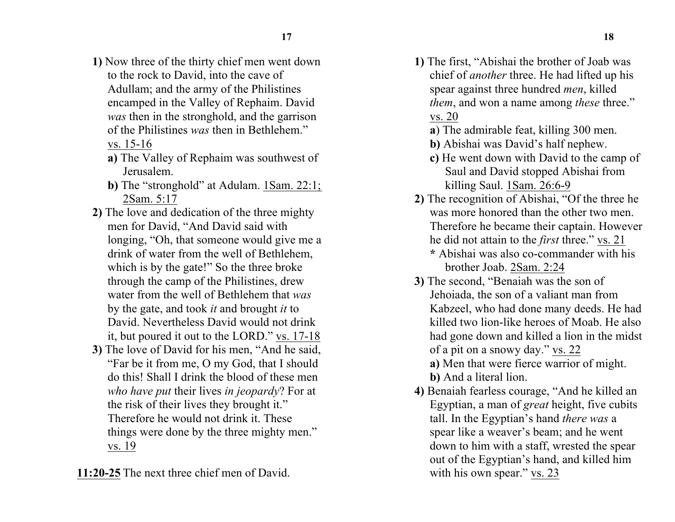- **1)** Now three of the thirty chief men went down to the rock to David, into the cave of Adullam; and the army of the Philistines encamped in the Valley of Rephaim. David *was* then in the stronghold, and the garrison of the Philistines *was* then in Bethlehem." vs. 15-16
	- **a)** The Valley of Rephaim was southwest of Jerusalem.
	- **b**) The "stronghold" at Adulam. 1Sam. 22:1; 2Sam. 5:17
- **2)** The love and dedication of the three mighty men for David, "And David said with longing, "Oh, that someone would give me a drink of water from the well of Bethlehem, which is by the gate!" So the three broke through the camp of the Philistines, drew water from the well of Bethlehem that *was* by the gate, and took *it* and brought *it* to David. Nevertheless David would not drink it, but poured it out to the LORD." vs. 17-18
- **3)** The love of David for his men, "And he said, "Far be it from me, O my God, that I should do this! Shall I drink the blood of these men *who have put* their lives *in jeopardy*? For at the risk of their lives they brought it." Therefore he would not drink it. These things were done by the three mighty men." vs. 19

**11:20-25** The next three chief men of David.

- **1)** The first, "Abishai the brother of Joab was chief of *another* three. He had lifted up his spear against three hundred *men*, killed *them*, and won a name among *these* three." vs. 20
	- **a**) The admirable feat, killing 300 men.
	- **b)** Abishai was David's half nephew.
	- **c)** He went down with David to the camp of Saul and David stopped Abishai from killing Saul. 1Sam. 26:6-9
- **2)** The recognition of Abishai, "Of the three he was more honored than the other two men. Therefore he became their captain. However he did not attain to the *first* three." vs. 21 **\*** Abishai was also co-commander with his
	- brother Joab. 2Sam. 2:24
- **3)** The second, "Benaiah was the son of Jehoiada, the son of a valiant man from Kabzeel, who had done many deeds. He had killed two lion-like heroes of Moab. He also had gone down and killed a lion in the midst of a pit on a snowy day." vs. 22 **a)** Men that were fierce warrior of might.
	- **b)** And a literal lion.
- **4)** Benaiah fearless courage, "And he killed an Egyptian, a man of *great* height, five cubits tall. In the Egyptian's hand *there was* a spear like a weaver's beam; and he went down to him with a staff, wrested the spear out of the Egyptian's hand, and killed him with his own spear." vs. 23